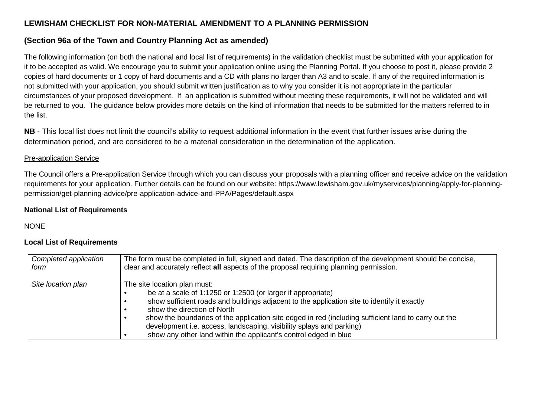# **LEWISHAM CHECKLIST FOR NON-MATERIAL AMENDMENT TO A PLANNING PERMISSION**

## **(Section 96a of the Town and Country Planning Act as amended)**

The following information (on both the national and local list of requirements) in the validation checklist must be submitted with your application for it to be accepted as valid. We encourage you to submit your application online using the Planning Portal. If you choose to post it, please provide 2 copies of hard documents or 1 copy of hard documents and a CD with plans no larger than A3 and to scale. If any of the required information is not submitted with your application, you should submit written justification as to why you consider it is not appropriate in the particular circumstances of your proposed development. If an application is submitted without meeting these requirements, it will not be validated and will be returned to you. The guidance below provides more details on the kind of information that needs to be submitted for the matters referred to in the list.

**NB** - This local list does not limit the council's ability to request additional information in the event that further issues arise during the determination period, and are considered to be a material consideration in the determination of the application.

### Pre-application Service

The Council offers a Pre-application Service through which you can discuss your proposals with a planning officer and receive advice on the validation requirements for your application. Further details can be found on our website: https://www.lewisham.gov.uk/myservices/planning/apply-for-planningpermission/get-planning-advice/pre-application-advice-and-PPA/Pages/default.aspx

#### **National List of Requirements**

## NONE

## **Local List of Requirements**

| Completed application | The form must be completed in full, signed and dated. The description of the development should be concise,                                                                                                                                                                                                                                                                                                                                                                    |
|-----------------------|--------------------------------------------------------------------------------------------------------------------------------------------------------------------------------------------------------------------------------------------------------------------------------------------------------------------------------------------------------------------------------------------------------------------------------------------------------------------------------|
| form                  | clear and accurately reflect all aspects of the proposal requiring planning permission.                                                                                                                                                                                                                                                                                                                                                                                        |
| Site location plan    | The site location plan must:<br>be at a scale of 1:1250 or 1:2500 (or larger if appropriate)<br>show sufficient roads and buildings adjacent to the application site to identify it exactly<br>show the direction of North<br>show the boundaries of the application site edged in red (including sufficient land to carry out the<br>development i.e. access, landscaping, visibility splays and parking)<br>show any other land within the applicant's control edged in blue |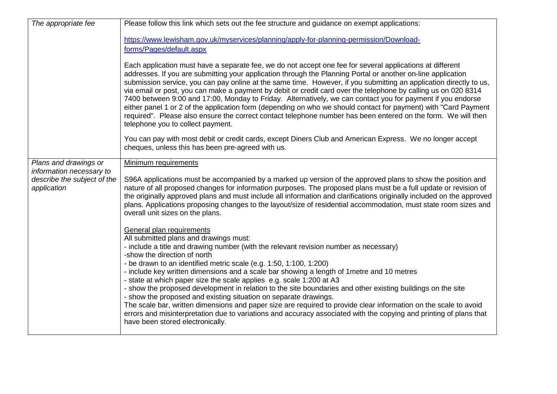| The appropriate fee                                                    | Please follow this link which sets out the fee structure and guidance on exempt applications:                                                                                                                                                                                                                                                                                                                                                                                                                                                                                                                                                                                                                                                                                                                                                                                                                                                                                                                               |
|------------------------------------------------------------------------|-----------------------------------------------------------------------------------------------------------------------------------------------------------------------------------------------------------------------------------------------------------------------------------------------------------------------------------------------------------------------------------------------------------------------------------------------------------------------------------------------------------------------------------------------------------------------------------------------------------------------------------------------------------------------------------------------------------------------------------------------------------------------------------------------------------------------------------------------------------------------------------------------------------------------------------------------------------------------------------------------------------------------------|
|                                                                        | https://www.lewisham.gov.uk/myservices/planning/apply-for-planning-permission/Download-                                                                                                                                                                                                                                                                                                                                                                                                                                                                                                                                                                                                                                                                                                                                                                                                                                                                                                                                     |
|                                                                        | forms/Pages/default.aspx                                                                                                                                                                                                                                                                                                                                                                                                                                                                                                                                                                                                                                                                                                                                                                                                                                                                                                                                                                                                    |
|                                                                        | Each application must have a separate fee, we do not accept one fee for several applications at different<br>addresses. If you are submitting your application through the Planning Portal or another on-line application<br>submission service, you can pay online at the same time. However, if you submitting an application directly to us,<br>via email or post, you can make a payment by debit or credit card over the telephone by calling us on 020 8314<br>7400 between 9:00 and 17:00, Monday to Friday. Alternatively, we can contact you for payment if you endorse<br>either panel 1 or 2 of the application form (depending on who we should contact for payment) with "Card Payment<br>required". Please also ensure the correct contact telephone number has been entered on the form. We will then<br>telephone you to collect payment.<br>You can pay with most debit or credit cards, except Diners Club and American Express. We no longer accept<br>cheques, unless this has been pre-agreed with us. |
| Plans and drawings or                                                  | Minimum requirements                                                                                                                                                                                                                                                                                                                                                                                                                                                                                                                                                                                                                                                                                                                                                                                                                                                                                                                                                                                                        |
| information necessary to<br>describe the subject of the<br>application | S96A applications must be accompanied by a marked up version of the approved plans to show the position and<br>nature of all proposed changes for information purposes. The proposed plans must be a full update or revision of<br>the originally approved plans and must include all information and clarifications originally included on the approved<br>plans. Applications proposing changes to the layout/size of residential accommodation, must state room sizes and<br>overall unit sizes on the plans.                                                                                                                                                                                                                                                                                                                                                                                                                                                                                                            |
|                                                                        | General plan requirements<br>All submitted plans and drawings must:<br>- include a title and drawing number (with the relevant revision number as necessary)<br>-show the direction of north<br>- be drawn to an identified metric scale (e.g. 1:50, 1:100, 1:200)<br>- include key written dimensions and a scale bar showing a length of 1 metre and 10 metres<br>- state at which paper size the scale applies e.g. scale 1:200 at A3<br>- show the proposed development in relation to the site boundaries and other existing buildings on the site<br>- show the proposed and existing situation on separate drawings.<br>The scale bar, written dimensions and paper size are required to provide clear information on the scale to avoid<br>errors and misinterpretation due to variations and accuracy associated with the copying and printing of plans that<br>have been stored electronically.                                                                                                                   |